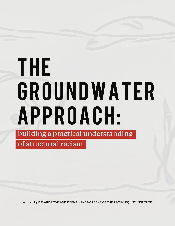# THE GROUNDWATER APPROACH: building a practical understanding of structural racism

written by BAYARD LOVE AND DEENA HAYES-GREENE OF THE RACIAL EQUITY INSTITUTE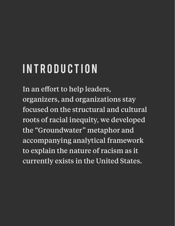### Introduction

In an effort to help leaders, organizers, and organizations stay focused on the structural and cultural roots of racial inequity, we developed the "Groundwater" metaphor and accompanying analytical framework to explain the nature of racism as it currently exists in the United States.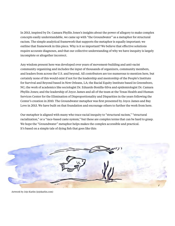In 2013, inspired by Dr. Camara Phyllis Jones's insights about the power of allegory to make complex concepts easily understandable, we came up with "the Groundwater" as a metaphor for structural racism. The simple analytical framework that supports the metaphor is equally important; we outline that framework in this piece. Why is it so important? We believe that effective solutions require accurate diagnoses, and that our collective understanding of why we have inequity is largely incomplete or altogether incorrect.

Any wisdom present here was developed over years of movement-building and anti-racist community organizing and includes the input of thousands of organizers, community members, and leaders from across the U.S. and beyond. All contributors are too numerous to mention here, but certainly none of this would exist if not for the leadership and mentorship of the People's Institute for Survival and Beyond based in New Orleans, LA; the Racial Equity Institute based in Greensboro, NC; the work of academics like sociologist Dr. Eduardo Bonilla-Silva and epidemiologist Dr. Camara Phyllis Jones; and the leadership of Joyce James and all of the team at the Texas Health and Human Services Center for the Elimination of Disproportionality and Disparities in the years following the Center's creation in 2010. The Groundwater metaphor was first presented by Joyce James and Bay Love in 2013. We have built on that foundation and encourage others to further the work from here.

Our metaphor is aligned with many who trace racial inequity to "structural racism," "structural racialization," or a "race-based caste system," but these are complex terms that can be hard to grasp. We hope the "Groundwater" metaphor helps makes the complex accessible and practical. It's based on a simple tale of dying fish that goes like this:



Artwork by Jojo Karlin (jojokarlin.com)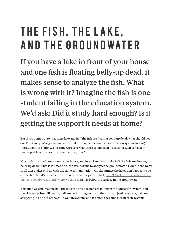### THE FISH, THE LAKE, A ND THE GROUNDWATER

If you have a lake in front of your house and one fish is floating belly-up dead, it makes sense to analyze the fish. What is wrong with it? Imagine the fish is one student failing in the education system. We'd ask: Did it study hard enough? Is it getting the support it needs at home?

But if you come out to that same lake and *half* the fish are floating belly-up dead, what should you do? This time you've got to analyze the lake. Imagine the lake is the education system and *half* the students are failing. This time we'd ask: Might the system itself be causing such consistent, unacceptable outcomes for students? If so, how?

Now… picture five lakes around your house, and in *each and every* lake half the fish are floating belly-up dead! What is it time to do? We say it's time to analyze the groundwater. How did the water in all these lakes end up with the same contamination? On the surface the lakes don't appear to be connected, but it's possible—even likely—that they are. In fact, [over 95% of the freshwater on the](https://www.nationalgeographic.org/media/earths-fresh-water/)  planet is *not* [above ground where we can see it](https://www.nationalgeographic.org/media/earths-fresh-water/); it is below the surface in the groundwater.

This time we can imagine half the kids in a given region are failing in the education system, half the kids suffer from ill health, half are performing poorly in the criminal justice system, half are struggling in and out of the child welfare system, and it's often the same kids in each system!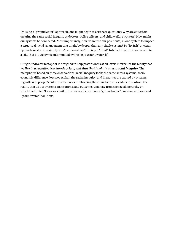By using a "groundwater" approach, one might begin to ask these questions: Why are educators creating the same racial inequity as doctors, police officers, and child welfare workers? How might our systems be connected? Most importantly, how do we use our position(s) in one system to impact a structural racial arrangement that might be deeper than any single system? To "fix fish" or clean up one lake at a time simply won't work—all we'd do is put "fixed" fish back into toxic water or filter a lake that is quickly recontaminated by the toxic groundwater. [1]

Our groundwater metaphor is designed to help practitioners at all levels internalize the reality that *we live in a racially structured society, and that that is what causes racial inequity*. The metaphor is based on three observations: racial inequity looks the same across systems, socioeconomic difference does not explain the racial inequity; and inequities are caused by systems, regardless of people's culture or behavior. Embracing these truths forces leaders to confront the reality that all our systems, institutions, and outcomes emanate from the racial hierarchy on which the United States was built. In other words, we have a "groundwater" problem, and we need "groundwater" solutions.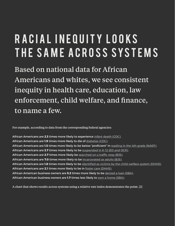### R A C I A L I N E Q U I T Y L O O K S THE SAME ACROSS SYSTEMS

Based on national data for African Americans and whites, we see consistent inequity in health care, education, law enforcement, child welfare, and finance, to name a few.

For example, according to data from the corresponding federal agencies:

African Americans are **2.3** times more likely to experience [infant death \(CDC\).](https://www.cdc.gov/nchs/data/hus/2016/011.pdf ) African Americans are **1.9** times more likely to die of [diabetes \(CDC\).](https://www.cdc.gov/nchs/data/hus/2016/017.pdf) African Americans are **1.5** times more likely to be below "proficient" in [reading in the 4th grade \(NAEP\).](https://www.nationsreportcard.gov/ndecore/xplore/NDE) African Americans are **3.7** times more likely to be [suspended in K-12 \(ED and OCR\).](https://www2.ed.gov/about/offices/list/ocr/docs/school-climate-and-safety.pdf) African Americans are **2.7** times more likely be [searched on a traffic stop \(BJS\)](https://www.bjs.gov/content/pub/pdf/pbtss11.pdf). African Americans are **7.0** times more likely to be [incarcerated as adults \(BJS\)](https://www.bjs.gov/content/pub/pdf/p16.pdf). African Americans are **1.8** times more likely to be [identified as victims by the child welfare system \(DHHS\)](https://www.childwelfare.gov/pubPDFs/racial_disproportionality.pdf). African Americans are **2.1** times more likely to be in [foster care \(DHHS\)](https://www.childwelfare.gov/pubPDFs/racial_disproportionality.pdf). African American business owners are **5.2** times more likely to be [denied a loan \(SBA\)](https://www.sba.gov/sites/default/files/Issue%20Brief%203%20Access%20to%20Capital.pdf). African American business owners are **1.7** times less likely to [own a home \(SBA\)](https://www.sba.gov/sites/default/files/Issue%20Brief%203%20Access%20to%20Capital.pdf).

A chart that shows results across systems using a relative rate index demonstrates the point. [2]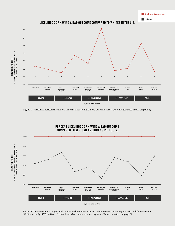

**African American** 

Figure 1: "African Americans are 1.5 to 7 times as likely to have a bad outcome across systems" (sources in text on page 6).



Figure 2: The same data arranged with whites as the reference group demonstrates the same point with a different frame: "Whites are only ~15%-~65% as likely to have a bad outcome across systems" (sources in text on page 6).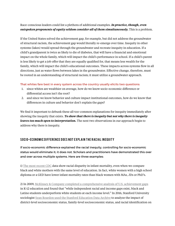#### Race-conscious leaders could list a plethora of additional examples. *In practice, though, even outspoken proponents of equity seldom consider all of them simultaneously.* This is a problem.

If the United States solved the achievement gap, for example, but did not address the groundwater of structural racism, the achievement gap would literally re-emerge over time. Inequity in other systems (lakes) would spread through the groundwater and recreate inequity in education. If a child's grandparent is twice as likely to die of diabetes, that will have a financial and emotional impact on the whole family, which will impact the child's performance in school. If a child's parent is less likely to get a job offer that they are equally qualified for, that means less wealth for the family, which will impact the child's educational outcomes. These impacts across systems flow in all directions, just as water flows between lakes in the groundwater. Effective change, therefore, must be rooted in an understanding of structural racism; it must utilize a groundwater approach.

#### That whites fare best in every system across the country usually elicits two questions:

- 1. since whites are wealthier on average, how do we know socio-economic difference or differential access isn't the root?
- 2. and since we know behavior and culture impact institutional outcomes, how do we know that differences in culture and behavior don't explain the gaps?

We find it important to debunk these all-too-common explanations for inequity immediately after showing the inequity that exists. *To show that there is inequity but not why there is inequity leaves too much open to interpretation.* The next two observations in our approach begin to address why there is inequity.

#### Socio-economic Difference Does Not Explain the Racial Inequity

If socio-economic difference explained the racial inequity, controlling for socio-economic status would eliminate it; it does not. Scholars and practitioners have demonstrated this over and over across multiple systems. Here are three examples:

1) [The most recent CDC](https://wonder.cdc.gov/lbd-current.html) data show racial disparity in infant mortality, even when we compare black and white mothers with the same level of education. In fact, white women with a high school diploma or a GED have lower infant mortality rates than black women with MAs, JDs or PhD's.

2) In 2009, [McKinsey & Company completed a comprehensive analysis of U.S. achievement gaps](http://www.p12.nysed.gov/accountability/AOC/resources/articles/achievement_gap_report.pdf) in K-12 education and found that "while independent racial and income gaps exist, black and Latino students underperform white students at each income level." In 2016, Stanford University sociologist [Sean Reardon used the Stanford Education Data Archive](https://cepa.stanford.edu/content/school-district-socioeconomic-status-race-and-academic-achievement) to analyze the impact of district-level socioeconomic status, family-level socioeconomic status, and racial identification on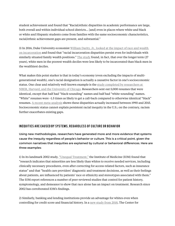student achievement and found that "Racial/ethnic disparities in academic performance are large, both overall and within individual school districts… [and] even in places where white and black or white and Hispanic students come from families with the same socioeconomic characteristics, racial/ethnic achievement gaps are present, and substantial."

3) In 2016, Duke University economist [William Darity, Jr., looked at the impact of race and wealth](https://www.washingtonpost.com/news/wonk/wp/2016/03/23/poor-white-kids-are-less-likely-to-go-to-prison-than-rich-black-kids/?utm_term=.eeb264bdf915)  [on incarceration](https://www.washingtonpost.com/news/wonk/wp/2016/03/23/poor-white-kids-are-less-likely-to-go-to-prison-than-rich-black-kids/?utm_term=.eeb264bdf915) and found that "racial incarceration disparities persist even for individuals with similarly situated family wealth positions." [The study](https://www.prisonpolicy.org/scans/wealthraceincarcerationrates.pdf) found, in fact, that over the longer term (27 years), white men in the poorest wealth deciles were less likely to be incarcerated than black men in the wealthiest deciles.

What makes this point starker is that in today's economy (even excluding the impacts of multigenerational wealth), one's racial designation is actually a causative factor in one's socioeconomic status. One clear and relatively well-known example is the study completed by researchers at [NBER, Harvard, and the University of Chicago](https://www.nber.org/papers/w9873). Researchers sent out 5,000 resumes that were identical, except that half had "black-sounding" names and half had "white-sounding" names. "White" resumes were ~1.5 times as likely to get a call-back compared to otherwise identical "black" resumes. [A recent meta-analysis](https://hbr.org/2017/10/hiring-discrimination-against-black-americans-hasnt-declined-in-25-years) shows these disparities actually increased between 1990 and 2015. Socioeconomic status cannot explain persistent racial inequity in the U.S.; on the contrary, racism further exacerbates existing gaps.

#### INEQUITIES ARE CAUSED BY SYSTEMS. REGARDLESS OF CULTURE OR BEHAVIOR

Using new methodologies, researchers have generated more and more evidence that systems cause the inequity regardless of people's behavior or culture. This is a critical point, given the common narratives that inequities are explained by cultural or behavioral differences. Here are three examples:

1) In its landmark 2002 study, ["Unequal Treatment,"](https://www.nap.edu/resource/10260/disparities_admin.pdf) the Institute of Medicine (IOM) found that "research indicates that minorities are less likely than whites to receive needed services, including clinically necessary procedures, even after correcting for access-related factors, such as insurance status" and that "health care providers' diagnostic and treatment decisions, as well as their feelings about patients, are influenced by patients' race or ethnicity and stereotypes associated with them." The IOM report references a number of peer-reviewed studies that control for patient history, symptomology, and demeanor to show that race alone has an impact on treatment. Research since 2002 has corroborated IOM's findings.

2) Similarly, banking and lending institutions provide an advantage for whites even when controlling for credit score and financial history. In a [new study from 2018,](https://www.revealnews.org/article/for-people-of-color-banks-are-shutting-the-door-to-homeownership/) The Center for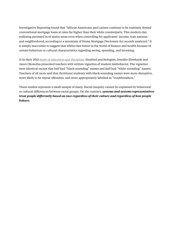Investigative Reporting found that "African Americans and Latinos continue to be routinely denied conventional mortgage loans at rates far higher than their white counterparts. This modern-day redlining persisted in 61 metro areas even when controlling for applicants' income, loan amount, and neighborhood, according to a mountain of Home Mortgage Disclosure Act records analyzed." It is simply inaccurate to suggest that whites fare better in the world of finance and wealth because of certain behaviors or cultural characteristics regarding saving, spending, and investing.

3) In their 2015 [study of education and discipline](https://news.stanford.edu/2015/04/15/discipline-black-students-041515/), Stanford psychologists Jennifer Eberhardt and Jason Okonofua presented teachers with written vignettes of student misbehavior. The vignettes were identical except that half had "black-sounding" names and half had "white-sounding" names. Teachers of all races said that (fictitious) students with black-sounding names were more disruptive, more likely to be repeat offenders, and more appropriately labelled as "troublemakers."

These studies represent a small sample of many. Racial inequity cannot be explained by behavioral or cultural differences between racial groups. On the contrary, *systems and systems representatives treat people differently based on race regardless of their culture and regardless of how people behave.*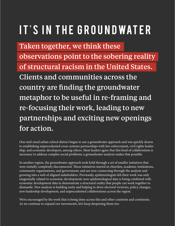## IT'S IN THE GROUNDWATER

Taken together, we think these observations point to the sobering reality of structural racism in the United States. Clients and communities across the country are finding the groundwater metaphor to be useful in re-framing and re-focusing their work, leading to new partnerships and exciting new openings for action.

One mid-sized urban school district began to use a groundwater approach and was quickly drawn to establishing unprecedented cross-systems partnerships with law enforcement, civil rights leadership, and economic developers, among others. Most leaders agree that this kind of collaboration is necessary to address complex social problems; a groundwater analysis makes that possible.

In another region, the groundwater approach took hold through a set of smaller initiatives that were initially completely disconnected. Those initiatives started in churches, academic institutions, community organizations, and government, and are now connecting through the analysis and growing into a web of aligned stakeholders. Previously, epidemiologists felt their work was only tangentially related to economic development; now epidemiological data is being combined with economic development data to demonstrate a structural reality that people can work together to dismantle. New analysis is building unity and helping to drive electoral victories, policy changes, new leadership development, and unprecedented collaborations across the region.

We're encouraged by the work that is being done across this and other countries and continents. As we continue to expand our movements, let's keep deepening them too.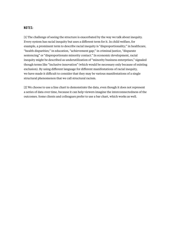#### **NOTES:**

[1] The challenge of seeing the structure is exacerbated by the way we talk about inequity. Every system has racial inequity but uses a different term for it. In child welfare, for example, a prominent term to describe racial inequity is "disproportionality;" in healthcare, "health disparities;" in education, "achievement gap;" in criminal justice, "disparate sentencing" or "disproportionate minority contact." In economic development, racial inequity might be described as underutilization of "minority business enterprises," signaled though terms like "inclusive innovation" (which would be necessary only because of existing exclusion). By using different language for different manifestations of racial inequity, we have made it difficult to consider that they may be various manifestations of a single structural phenomenon that we call structural racism.

[2] We choose to use a line chart to demonstrate the data, even though it does not represent a series of data over time, because it can help viewers imagine the interconnectedness of the outcomes. Some clients and colleagues prefer to use a bar chart, which works as well.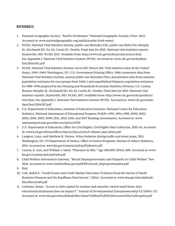#### References:

- 1. National Geographic Society. "Earth's Freshwater." National Geographic Society, 9 Nov. 2012. Accessed at: www.nationalgeographic.org/media/earths-fresh-water/.
- 2. NCHS, National Vital Statistics System, public-use Mortality File, public-use Birth File; Murphy SL, Kochanek KD, Xu JQ, Curtin SC. Deaths: Final data for 2015. National vital statistics reports. Hyattsville, MD: NCHS; 2017. Available from: http://www.cdc.gov/nchs/products/nvsr.htm. See Appendix I, National Vital Statistics System (NVSS). Accessed at: www.cdc.gov/nchs/data/ hus/2016/011.pdf
- 3. NCHS, National Vital Statistics System; Grove RD, Hetzel AM. Vital statistics rates in the United States, 1940–1960. Washington, DC: U.S. Government Printing Office. 1968; numerator data from National Vital Statistics System, annual public-use Mortality Files; denominator data from national population estimates for race groups from Table 1 and unpublished Hispanic population estimates for 1985–1996 prepared by the Housing and Household Economic Statistics Division, U.S. Census Bureau; Murphy SL, Kochanek KD, Xu JQ, Curtin SC. Deaths: Final data for 2015. National vital statistics reports. Hyattsville, MD: NCHS; 2017. Available from: http://www.cdc.gov/nchs/products/ nvsr.htm. See Appendix I, National Vital Statistics System (NVSS). Accessed at: www.cdc.gov/nchs/ data/hus/2016/017.pdf
- 4. U.S. Department of Education, Institute of Education Sciences, National Center for Education Statistics, National Assessment of Educational Progress (NAEP), 1992, 1994, 1998, 2000, 2002, 2003, 2005, 2007, 2009, 2011, 2013, 2015, and 2017 Reading Assessments. Accessed at: www. nationsreportcard.gov/ndecore/xplore/NDE
- 5. U.S. Department of Education, Office for Civil Rights, Civil Rights Data Collection, 2015–16. Accessed at: www2.ed.gov/about/offices/list/ocr/docs/school-climate-and-safety.pdf
- 6. Langton, Lynn, and Matthew R. Durose. Police behavior during traffic and street stops, 2011. Washington, DC: US Department of Justice, Office of Justice Programs, Bureau of Justice Statistics, 2013. Accessed at: www.bjs.gov/content/pub/pdf/pbtss11.pdf
- 7. Carson, E. Ann, and William J. Sabol. "Prisoners in 2011." Age 400.500 (2014): 600. Accessed at: www. bjs.gov/content/pub/pdf/p16.pdf
- 8. Child Welfare Information Gateway, "Racial Disproportionality and Disparity in Child Welfare" Nov 2016. Accessed at: www.childwelfare.gov/pubPDFs/racial\_disproportionality.pdf
- 9. Ibid.
- 10. Cole, Rebel A. "Credit Scores and Credit Market Outcomes: Evidence from the Survey of Small Business Finances and the Kauffman Firm Survey." (2014). Accessed at: www.sba.gov/sites/default/ files/files/rs419.pdf
- 11. Coleman, Susan. "Access to debt capital for women-and minority-owned small firms: does educational attainment have an impact?." Journal of Developmental Entrepreneurship 9.2 (2004): 127. Accessed at: www.sba.gov/sites/default/files/Issue%20Brief%203%20Access%20to%20Capital.pdf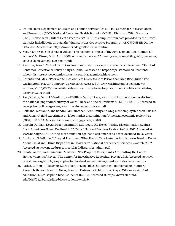- 12. United States Department of Health and Human Services (US DHHS), Centers for Disease Control and Prevention (CDC), National Center for Health Statistics (NCHS), Division of Vital Statistics (DVS). Linked Birth / Infant Death Records 1995-2016, as compiled from data provided by the 57 vital statistics jurisdictions through the Vital Statistics Cooperative Program, on CDC WONDER Online Database. Accessed at: https://wonder.cdc.gov/lbd-current.html
- 13. McKinsey & Co., Social Sector Office. "The Economic Impact of the Achievement Gap in America's Schools" McKinsey & Co. April 2009. Accessed at: www.p12.nysed.gov/accountability/AOC/resources/ articles/achievement\_gap\_report.pdf
- 14. Reardon, Sean F. "School district socioeconomic status, race, and academic achievement." Stanford Center for Educational Policy Analysis. (2016). Accessed at: https://cepa.stanford.edu/content/ school-district-socioeconomic-status-race-and-academic-achievement
- 15. Ehrenfreund, Max. "Poor White Kids Are Less Likely to Go to Prison than Rich Black Kids." The Washington Post, WP Company, 23 Mar. 2016. Accessed at: www.washingtonpost.com/news/ wonk/wp/2016/03/23/poor-white-kids-are-less-likely-to-go-to-prison-than-rich-black-kids/?utm\_ term=.342208cc4efd
- 16. Zaw, Khaing, Darrick Hamilton, and William Darity. "Race, wealth and incarceration: results from the national longitudinal survey of youth." Race and Social Problems 8.1 (2016): 103-115. Accessed at: www.prisonpolicy.org/scans/wealthraceincarcerationrates.pdf
- 17. Bertrand, Marianne, and Sendhil Mullainathan. "Are Emily and Greg more employable than Lakisha and Jamal? A field experiment on labor market discrimination." American economic review 94.4 (2004): 991-1013. Accessed at: www.nber.org/papers/w9873
- 18. Lincoln Quillian, Devah Pager, Arnfinn H. Midtbøen, Ole Hexel. "Hiring Discrimination Against Black Americans Hasn't Declined in 25 Years." Harvard Business Review, 16 Oct. 2017. Accessed at: www.hbr.org/2017/10/hiring-discrimination-against-black-americans-hasnt-declined-in-25-years.
- 19. Institute of Medicine. "Unequal Treatment: What Health Care System Administrators Need to Know About Racial and Ethnic Disparities in Healthcare" National Academy of Sciences. 2 March, 2002. Accessed at: www.nap.edu/resource/10260/disparities\_admin.pdf
- 20. Glantz, Aaron, and Emmanuel Martinez. "For People of Color, Banks Are Shutting the Door to Homeownership." Reveal, The Center for Investigative Reporting, 14 Aug. 2018. Accessed at: www. revealnews.org/article/for-people-of-color-banks-are-shutting-the-door-to-homeownership/.
- 21. Parker, Clifton B. "Teachers More Likely to Label Black Students as Troublemakers, Stanford Research Shows." Stanford News, Stanford University Publications, 9 Apr. 2016, news.stanford. edu/2015/04/15/discipline-black-students-041515/. Accessed at: https://news.stanford. edu/2015/04/15/discipline-black-students-041515/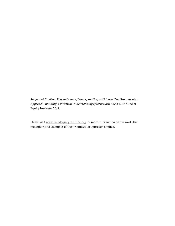Suggested Citation: Hayes-Greene, Deena, and Bayard P. Love. *The Groundwater Approach: Building a Practical Understanding of Structural Racism.* The Racial Equity Institute. 2018.

Please visit [www.racialequityinstitute.org](https://www.racialequityinstitute.com/) for more information on our work, the metaphor, and examples of the Groundwater approach applied.